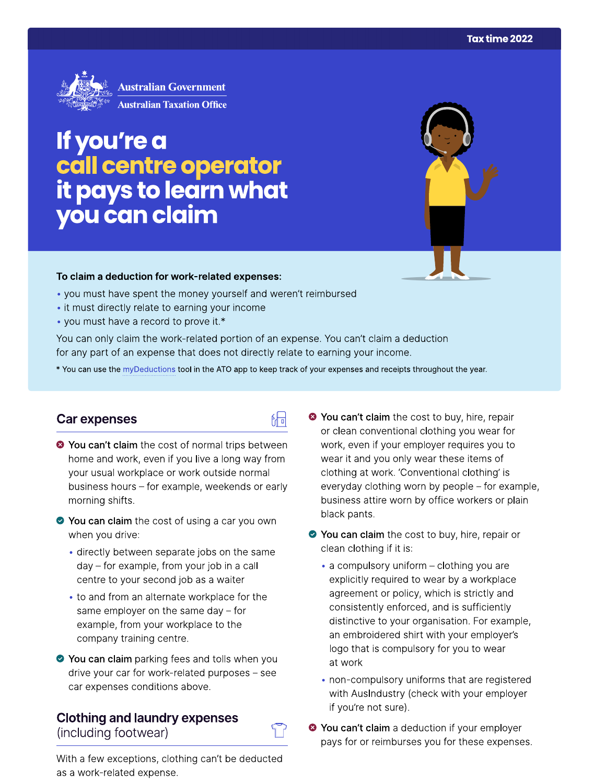

# If you're a call centre operator<br>it pays to learn what<br>you can claim

# To claim a deduction for work-related expenses:

- you must have spent the money yourself and weren't reimbursed
- it must directly relate to earning your income
- you must have a record to prove it.\*

You can only claim the work-related portion of an expense. You can't claim a deduction for any part of an expense that does not directly relate to earning your income.

\* You can use the myDeductions tool in the ATO app to keep track of your expenses and receipts throughout the year.

品

## Car expenses

- <sup>●</sup> You can't claim the cost of normal trips between home and work, even if you live a long way from your usual workplace or work outside normal business hours - for example, weekends or early morning shifts.
- ◆ You can claim the cost of using a car you own when you drive:
	- directly between separate jobs on the same day – for example, from your job in a call centre to your second job as a waiter
	- to and from an alternate workplace for the same employer on the same day  $-$  for example, from your workplace to the company training centre.
- ◆ You can claim parking fees and tolls when you drive your car for work-related purposes – see car expenses conditions above.

#### **Clothing and laundry expenses** (including footwear)



With a few exceptions, clothing can't be deducted as a work-related expense.

- <sup>◆</sup> You can't claim the cost to buy, hire, repair or clean conventional clothing you wear for work, even if your employer requires you to wear it and you only wear these items of clothing at work. 'Conventional clothing' is everyday clothing worn by people – for example, business attire worn by office workers or plain black pants.
- ◆ You can claim the cost to buy, hire, repair or clean clothing if it is:
	- a compulsory uniform clothing you are explicitly required to wear by a workplace agreement or policy, which is strictly and consistently enforced, and is sufficiently distinctive to your organisation. For example, an embroidered shirt with your employer's logo that is compulsory for you to wear at work
	- non-compulsory uniforms that are registered with AusIndustry (check with your employer if you're not sure).
- <sup>●</sup> You can't claim a deduction if your employer pays for or reimburses you for these expenses.